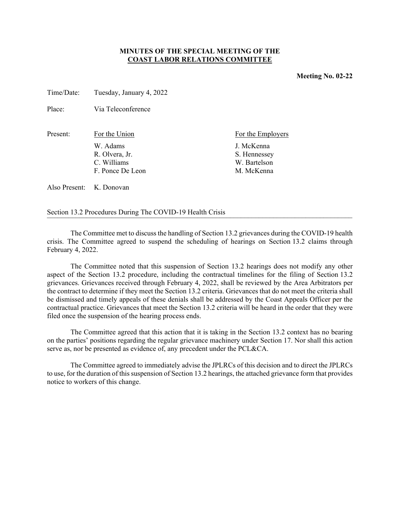## **MINUTES OF THE SPECIAL MEETING OF THE COAST LABOR RELATIONS COMMITTEE**

Time/Date: Tuesday, January 4, 2022

Place: Via Teleconference

| Present: | For the Union    | For the Employers |
|----------|------------------|-------------------|
|          | W. Adams         | J. McKenna        |
|          | R. Olvera, Jr.   | S. Hennessey      |
|          | C. Williams      | W. Bartelson      |
|          | F. Ponce De Leon | M. McKenna        |
|          |                  |                   |

Also Present: K. Donovan

Section 13.2 Procedures During The COVID-19 Health Crisis

The Committee met to discuss the handling of Section 13.2 grievances during the COVID-19 health crisis. The Committee agreed to suspend the scheduling of hearings on Section 13.2 claims through February 4, 2022.

The Committee noted that this suspension of Section 13.2 hearings does not modify any other aspect of the Section 13.2 procedure, including the contractual timelines for the filing of Section 13.2 grievances. Grievances received through February 4, 2022, shall be reviewed by the Area Arbitrators per the contract to determine if they meet the Section 13.2 criteria. Grievances that do not meet the criteria shall be dismissed and timely appeals of these denials shall be addressed by the Coast Appeals Officer per the contractual practice. Grievances that meet the Section 13.2 criteria will be heard in the order that they were filed once the suspension of the hearing process ends.

The Committee agreed that this action that it is taking in the Section 13.2 context has no bearing on the parties' positions regarding the regular grievance machinery under Section 17. Nor shall this action serve as, nor be presented as evidence of, any precedent under the PCL&CA.

The Committee agreed to immediately advise the JPLRCs of this decision and to direct the JPLRCs to use, for the duration of this suspension of Section 13.2 hearings, the attached grievance form that provides notice to workers of this change.